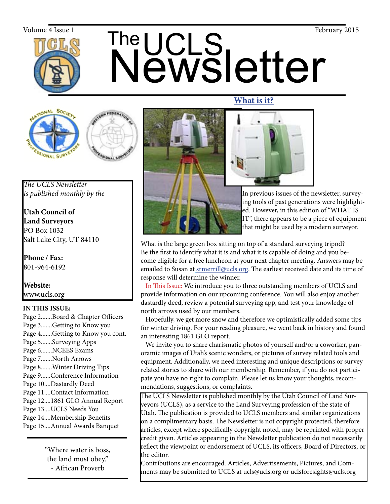

# The UCLS<br>Newsletter Volume 4 Issue 1  $\bigcap_{\text{C}}$   $\bigcap_{\text{C}}$   $\bigcap_{\text{C}}$   $\bigcap_{\text{C}}$   $\bigcap_{\text{C}}$   $\bigcap_{\text{C}}$   $\bigcap_{\text{C}}$   $\bigcap_{\text{C}}$   $\bigcap_{\text{C}}$   $\bigcap_{\text{C}}$   $\bigcap_{\text{C}}$   $\bigcap_{\text{C}}$   $\bigcap_{\text{C}}$   $\bigcap_{\text{C}}$   $\bigcap_{\text{C}}$   $\bigcap_{\text{C}}$   $\bigcap_{\text{C}}$





*The UCLS Newsletter is published monthly by the*

**Utah Council of Land Surveyors** PO Box 1032 Salt Lake City, UT 84110

**Phone / Fax:**  801-964-6192

**Website:** www.ucls.org

## **IN THIS ISSUE:**

Page 2.......Board & Chapter Officers Page 3.......Getting to Know you Page 4.......Getting to Know you cont. Page 5.......Surveying Apps Page 6.......NCEES Exams Page 7.......North Arrows Page 8.......Winter Driving Tips Page 9......Conference Information Page 10....Dastardly Deed Page 11....Contact Information Page 12....1861 GLO Annual Report Page 13....UCLS Needs You Page 14....Membership Benefits Page 15....Annual Awards Banquet

> "Where water is boss, the land must obey." - African Proverb





In previous issues of the newsletter, surveying tools of past generations were highlighted. However, in this edition of "WHAT IS IT", there appears to be a piece of equipment that might be used by a modern surveyor.

What is the large green box sitting on top of a standard surveying tripod? Be the first to identify what it is and what it is capable of doing and you become eligible for a free luncheon at your next chapter meeting. Answers may be emailed to Susan at srmerrill@ucls.org. The earliest received date and its time of response will determine the winner.

 In This Issue: We introduce you to three outstanding members of UCLS and provide information on our upcoming conference. You will also enjoy another dastardly deed, review a potential surveying app, and test your knowledge of north arrows used by our members.

 Hopefully, we get more snow and therefore we optimistically added some tips for winter driving. For your reading pleasure, we went back in history and found an interesting 1861 GLO report.

 We invite you to share charismatic photos of yourself and/or a coworker, panoramic images of Utah's scenic wonders, or pictures of survey related tools and equipment. Additionally, we need interesting and unique descriptions or survey related stories to share with our membership. Remember, if you do not participate you have no right to complain. Please let us know your thoughts, recommendations, suggestions, or complaints.

The UCLS Newsletter is published monthly by the Utah Council of Land Surveyors (UCLS), as a service to the Land Surveying profession of the state of Utah. The publication is provided to UCLS members and similar organizations on a complimentary basis. The Newsletter is not copyright protected, therefore articles, except where specifically copyright noted, may be reprinted with proper credit given. Articles appearing in the Newsletter publication do not necessarily reflect the viewpoint or endorsement of UCLS, its officers, Board of Directors, or the editor.

Contributions are encouraged. Articles, Advertisements, Pictures, and Comments may be submitted to UCLS at ucls@ucls.org or uclsforesights@ucls.org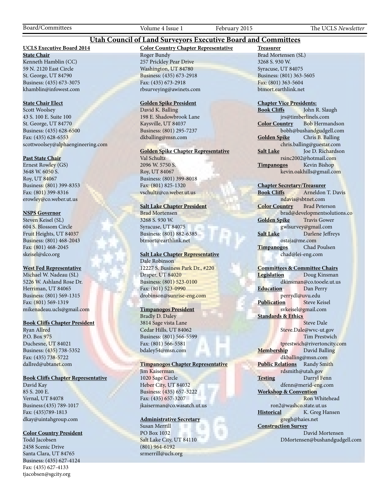Board/Committees Volume 4 Issue 1 February 2015 The UCLS *Newsletter*

### **Utah Council of Land Surveyors Executive Board and Committees**

#### **UCLS Executive Board 2014**

**State Chair** Kenneth Hamblin (CC) 59 N. 2120 East Circle St. George, UT 84790 Business: (435) 673-3075 khamblin@infowest.com

#### **State Chair Elect**

Scott Woolsey 43 S. 100 E. Suite 100 St. George, UT 84770 Business: (435) 628-6500 Fax: (435) 628-6553 scottwoolsey@alphaengineering.com

#### **Past State Chair**

Ernest Rowley (GS) 3648 W. 6050 S. Roy, UT 84067 Business: (801) 399-8353 Fax: (801) 399-8316 erowley@co.weber.ut.us

#### **NSPS Governor**

Steven Keisel (SL) 604 S. Blossom Circle Fruit Heights, UT 84037 Business: (801) 468-2043 Fax: (801) 468-2045 skeisel@slco.org

#### **West Fed Representative**

Michael W. Nadeau (SL) 5226 W. Ashland Rose Dr. Herriman, UT 84065 Business: (801) 569-1315 Fax: (801) 569-1319 mikenadeau.ucls@gmail.com

#### **Book Cliffs Chapter President**

Ryan Allred P.O. Box 975 Duchesne, UT 84021 Business: (435) 738-5352 Fax: (435) 738-5722 dallred@ubtanet.com

#### **Book Cliffs Chapter Representative**

David Kay 85 S. 200 E. Vernal, UT 84078 Business:(435) 789-1017 Fax: (435)789-1813 dkay@uintahgroup.com

#### **Color Country President**

Todd Jacobsen 2458 Scenic Drive Santa Clara, UT 84765 Business: (435) 627-4124 Fax: (435) 627-4133 tjacobsen@sgcity.org

#### **Color Country Chapter Representative** Roger Bundy 257 Prickley Pear Drive Washington, UT 84780 Business: (435) 673-2918 Fax: (435) 673-2918 rbsurveying@awinets.com

#### **Golden Spike President**

David K. Balling 198 E. Shadowbrook Lane Kaysville, UT 84037 Business: (801) 295-7237 dkballing@msn.com

#### **Golden Spike Chapter Representative**

Val Schultz 2096 W. 5750 S. Roy, UT 84067 Business: (801) 399-8018 Fax: (801) 825-1320 vschultz@co.weber.ut.us

#### **Salt Lake Chapter President**

Brad Mortensen 3268 S. 930 W. Syracuse, UT 84075 Business: (801) 882-6385 btmort@earthlink.net

#### **Salt Lake Chapter Representative** Dale Robinson

12227 S. Business Park Dr., #220 Draper, UT 84020 Business: (801) 523-0100 Fax: (801) 523-0990 drobinson@sunrise-eng.com

#### **Timpanogos President**

Bradly D. Daley 3814 Sage vista Lane Cedar Hills, UT 84062 Business: (801) 566-5599 Fax: (801) 566-5581 bdaley54@msn.com

#### **Timpanogos Chapter Representative**

Jim Kaiserman 1020 Sage Circle Heber City, UT 84032 Business: (435) 657-3222 Fax: (435) 657-3207 jkaiserman@co.wasatch.ut.us

#### **Administrative Secretary**

Susan Merrill PO Box 1032 Salt Lake City, UT 84110 (801) 964-6192 srmerrill@ucls.org

**Treasurer** Brad Mortensen (SL) 3268 S. 930 W. Syracuse, UT 84075 Business: (801) 363-5605 Fax: (801) 363-5604 btmort.earthlink.net

# **Chapter Vice Presidents:**

John R. Slaugh jrs@timberlinels.com **Color Country** Bob Hermandson bobh@bushandgudgell.com **Golden Spike** Chris B. Balling chris.balling@guestar.com **Salt Lake** Joe D. Richardson rsinc2002@hotmail.com **Timpanogos** Kevin Bishop kevin.oakhills@gmail.com

#### **Chapter Secretary/Treasurer**

**Book Cliffs** Arneldon T. Davis ndavis@sbtnet.com **Color Country** Brad Peterson brad@developmentsolutions.co **Golden Spike** Travis Gower gwlsurvey@gmail.com **Salt Lake** Darlene Jeffreys ostaja@me.com **Timpanogos** Chad Poulsen chad@lei-eng.com

#### **Committees & Committee Chairs**

**Legislation** Doug Kinsman dkinsman@co.tooele.ut.us **Education** Dan Perry perrydl@uvu.edu **Publication** Steve Keisel svkeisel@gmail.com **Standards & Ethics** Steve Dale Steve.Dale@wvc-ut.gov

 Tim Prestwich tprestwich@rivertoncity.com **Membership** David Balling dkballing@msn.com **Public Relations** Randy Smith rdsmith@utah.gov **Testing** Darryl Fenn dfenn@merid-eng.com **Workshop & Convention**

 Ron Whitehead ron2@washco.state.ut.us **Historical** K. Greg Hansen gregh@haies.net **Construction Survey**

#### David Mortensen DMortensen@bushandgudgell.com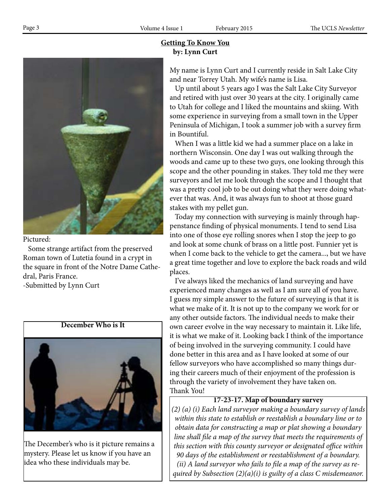## **Getting To Know You by: Lynn Curt**



#### Pictured:

 Some strange artifact from the preserved Roman town of Lutetia found in a crypt in the square in front of the Notre Dame Cathedral, Paris France. -Submitted by Lynn Curt

## **December Who is It**



The December's who is it picture remains a mystery. Please let us know if you have an idea who these individuals may be.

My name is Lynn Curt and I currently reside in Salt Lake City and near Torrey Utah. My wife's name is Lisa.

 Up until about 5 years ago I was the Salt Lake City Surveyor and retired with just over 30 years at the city. I originally came to Utah for college and I liked the mountains and skiing. With some experience in surveying from a small town in the Upper Peninsula of Michigan, I took a summer job with a survey firm in Bountiful.

 When I was a little kid we had a summer place on a lake in northern Wisconsin. One day I was out walking through the woods and came up to these two guys, one looking through this scope and the other pounding in stakes. They told me they were surveyors and let me look through the scope and I thought that was a pretty cool job to be out doing what they were doing whatever that was. And, it was always fun to shoot at those guard stakes with my pellet gun.

 Today my connection with surveying is mainly through happenstance finding of physical monuments. I tend to send Lisa into one of those eye rolling snores when I stop the jeep to go and look at some chunk of brass on a little post. Funnier yet is when I come back to the vehicle to get the camera..., but we have a great time together and love to explore the back roads and wild places.

 I've always liked the mechanics of land surveying and have experienced many changes as well as I am sure all of you have. I guess my simple answer to the future of surveying is that it is what we make of it. It is not up to the company we work for or any other outside factors. The individual needs to make their own career evolve in the way necessary to maintain it. Like life, it is what we make of it. Looking back I think of the importance of being involved in the surveying community. I could have done better in this area and as I have looked at some of our fellow surveyors who have accomplished so many things during their careers much of their enjoyment of the profession is through the variety of involvement they have taken on. Thank You!

#### **17-23-17. Map of boundary survey**

*(2) (a) (i) Each land surveyor making a boundary survey of lands within this state to establish or reestablish a boundary line or to obtain data for constructing a map or plat showing a boundary line shall file a map of the survey that meets the requirements of this section with this county surveyor or designated office within 90 days of the establishment or reestablishment of a boundary. (ii) A land surveyor who fails to file a map of the survey as required by Subsection (2)(a)(i) is guilty of a class C misdemeanor.*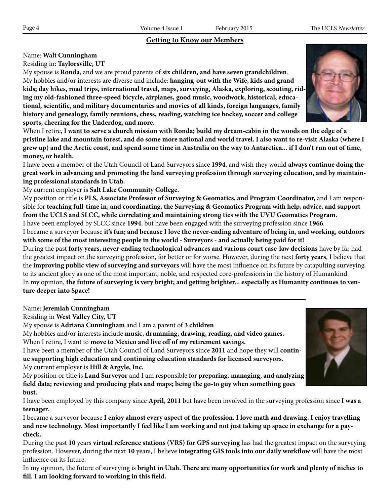## **Getting to Know our Members**

## Name: **Walt Cunningham**

Residing in: **Taylorsville, UT**

My spouse is **Ronda**, and we are proud parents of **six children, and have seven grandchildren**. My hobbies and/or interests are diverse and include: **hanging-out with the Wife, kids and grandkids; day hikes, road trips, international travel, maps, surveying, Alaska, exploring, scouting, riding my old-fashioned three-speed bicycle, airplanes, good music, woodwork, historical, educational, scientific, and military documentaries and movies of all kinds, foreign languages, family history and genealogy, family reunions, chess, reading, watching ice hockey, soccer and college sports, cheering for the Underdog, and more.**

When I retire, **I want to serve a church mission with Ronda; build my dream-cabin in the woods on the edge of a pristine lake and mountain forest, and do some more national and world travel. I also want to re-visit Alaska (where I grew up) and the Arctic coast, and spend some time in Australia on the way to Antarctica... if I don't run out of time, money, or health.**

I have been a member of the Utah Council of Land Surveyors since **1994**, and wish they would **always continue doing the great work in advancing and promoting the land surveying profession through surveying education, and by maintaining professional standards in Utah.**

My current employer is **Salt Lake Community College.**

My position or title is **PLS, Associate Professor of Surveying & Geomatics, and Program Coordinator,** and I am responsible for **teaching full-time in, and coordinating, the Surveying & Geomatics Program with help, advice, and support from the UCLS and SLCC, while correlating and maintaining strong ties with the UVU Geomatics Program.** I have been employed by SLCC since **1994**, but have been engaged with the surveying profession since **1966**.

I became a surveyor because **it's fun; and because I love the never-ending adventure of being in, and working, outdoors with some of the most interesting people in the world - Surveyors - and actually being paid for it!**

During the past **forty years, never-ending technological advances and various court case-law decisions** have by far had the greatest impact on the surveying profession, for better or for worse. However, during the next **forty years**, I believe that the **improving public view of surveying and surveyors** will have the most influence on its future by catapulting surveying to its ancient glory as one of the most important, noble, and respected core-professions in the history of Humankind. In my opinion, **the future of surveying is very bright; and getting brighter... especially as Humanity continues to venture deeper into Space!**

Name: **Jeremiah Cunningham**

Residing in **West Valley City, UT**

My spouse is **Adriana Cunningham** and I am a parent of **3 children**

My hobbies and/or interests include **music, drumming, drawing, reading, and video games.**

When I retire, I want to **move to Mexico and live off of my retirement savings.**

I have been a member of the Utah Council of Land Surveyors since **2011** and hope they will **continue supporting high education and continuing education standards for licensed surveyors.** My current employer is **Hill & Argyle, Inc.**

My position or title is **Land Surveyor** and I am responsible for **preparing, managing, and analyzing field data; reviewing and producing plats and maps; being the go-to guy when something goes bust.**

I have been employed by this company since **April, 2011** but have been involved in the surveying profession since **I was a teenager.**

I became a surveyor because **I enjoy almost every aspect of the profession. I love math and drawing. I enjoy travelling and new technology. Most importantly I feel like I am working and not just taking up space in exchange for a paycheck.**

During the past **10** years **virtual reference stations (VRS) for GPS surveying** has had the greatest impact on the surveying profession. However, during the next **10** years, I believe **integrating GIS tools into our daily workflow** will have the most influence on its future.

In my opinion, the future of surveying is **bright in Utah. There are many opportunities for work and plenty of niches to fill. I am looking forward to working in this field.**



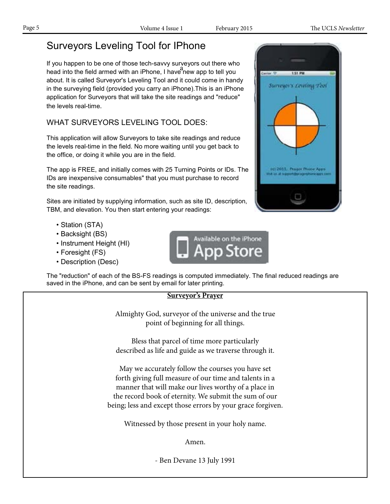# Surveyors Leveling Tool for IPhone

If you happen to be one of those tech-savvy surveyors out there who head into the field armed with an iPhone, I have new app to tell you about. It is called Surveyor's Leveling Tool and it could come in handy in the surveying field (provided you carry an iPhone).This is an iPhone application for Surveyors that will take the site readings and "reduce" the levels real-time.

WHAT SURVEYORS LEVELING TOOL DOES:

This application will allow Surveyors to take site readings and reduce the levels real-time in the field. No more waiting until you get back to the office, or doing it while you are in the field.

The app is FREE, and initially comes with 25 Turning Points or IDs. The IDs are inexpensive consumables" that you must purchase to record the site readings.

Sites are initiated by supplying information, such as site ID, description, TBM, and elevation. You then start entering your readings:

- Station (STA)
- Backsight (BS)
- Instrument Height (HI)
- Foresight (FS)
- Description (Desc)



The "reduction" of each of the BS-FS readings is computed immediately. The final reduced readings are saved in the iPhone, and can be sent by email for later printing.

# **Surveyor's Prayer** Almighty God, surveyor of the universe and the true point of beginning for all things. Bless that parcel of time more particularly described as life and guide as we traverse through it. May we accurately follow the courses you have set forth giving full measure of our time and talents in a manner that will make our lives worthy of a place in the record book of eternity. We submit the sum of our being; less and except those errors by your grace forgiven. Witnessed by those present in your holy name. Amen. - Ben Devane 13 July 1991

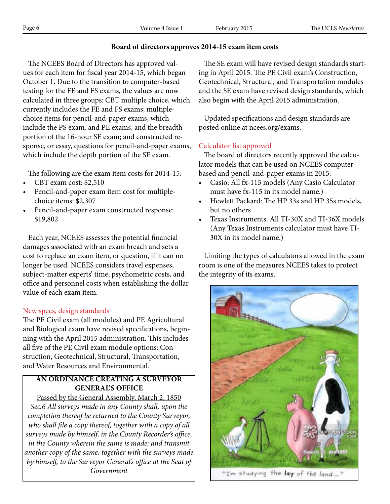## **Board of directors approves 2014-15 exam item costs**

 The NCEES Board of Directors has approved values for each item for fiscal year 2014-15, which began October 1. Due to the transition to computer-based testing for the FE and FS exams, the values are now calculated in three groups: CBT multiple choice, which currently includes the FE and FS exams; multiplechoice items for pencil-and-paper exams, which include the PS exam, and PE exams, and the breadth portion of the 16-hour SE exam; and constructed response, or essay, questions for pencil-and-paper exams, which include the depth portion of the SE exam.

The following are the exam item costs for 2014-15:

- CBT exam cost: \$2,510
- Pencil-and-paper exam item cost for multiplechoice items: \$2,307
- Pencil-and-paper exam constructed response: \$19,802

 Each year, NCEES assesses the potential financial damages associated with an exam breach and sets a cost to replace an exam item, or question, if it can no longer be used. NCEES considers travel expenses, subject-matter experts' time, psychometric costs, and office and personnel costs when establishing the dollar value of each exam item.

## New specs, design standards

The PE Civil exam (all modules) and PE Agricultural and Biological exam have revised specifications, beginning with the April 2015 administration. This includes all five of the PE Civil exam module options: Construction, Geotechnical, Structural, Transportation, and Water Resources and Environmental.

## **AN ORDINANCE CREATING A SURVEYOR GENERAL'S OFFICE**

Passed by the General Assembly, March 2, 1850 *Sec.6 All surveys made in any County shall, upon the completion thereof be returned to the County Surveyor, who shall file a copy thereof, together with a copy of all surveys made by himself, in the County Recorder's office, in the County wherein the same is made; and transmit another copy of the same, together with the surveys made by himself, to the Surveyor General's office at the Seat of Government*

 The SE exam will have revised design standards starting in April 2015. The PE Civil exam's Construction, Geotechnical, Structural, and Transportation modules and the SE exam have revised design standards, which also begin with the April 2015 administration.

 Updated specifications and design standards are posted online at ncees.org/exams.

## Calculator list approved

 The board of directors recently approved the calculator models that can be used on NCEES computerbased and pencil-and-paper exams in 2015:

- Casio: All fx-115 models (Any Casio Calculator must have fx-115 in its model name.)
- Hewlett Packard: The HP 33s and HP 35s models, but no others
- Texas Instruments: All TI-30X and TI-36X models (Any Texas Instruments calculator must have TI-30X in its model name.)

 Limiting the types of calculators allowed in the exam room is one of the measures NCEES takes to protect the integrity of its exams.

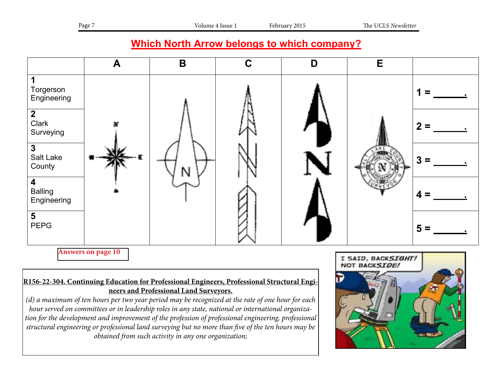## **Which North Arrow belongs to which company?**



**Answers on page 10**

## <u>R156-22-304. Continuing Education for Professional Engineers, Professional Structural Engi-</u> **neers and Professional Land Surveyors.**

*(d) a maximum of ten hours per two year period may be recognized at the rate of one hour for each hour served on committees or in leadership roles in any state, national or international organization for the development and improvement of the profession of professional engineering, professional structural engineering or professional land surveying but no more than five of the ten hours may be obtained from such activity in any one organization;*

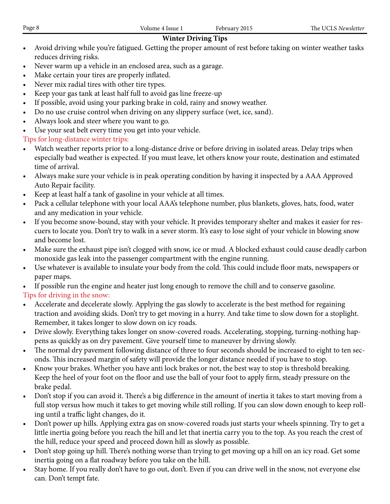## **Winter Driving Tips**

- Avoid driving while you're fatigued. Getting the proper amount of rest before taking on winter weather tasks reduces driving risks.
- Never warm up a vehicle in an enclosed area, such as a garage.
- Make certain your tires are properly inflated.
- Never mix radial tires with other tire types.
- Keep your gas tank at least half full to avoid gas line freeze-up
- If possible, avoid using your parking brake in cold, rainy and snowy weather.
- Do no use cruise control when driving on any slippery surface (wet, ice, sand).
- Always look and steer where you want to go.
- Use your seat belt every time you get into your vehicle.

## Tips for long-distance winter trips:

- Watch weather reports prior to a long-distance drive or before driving in isolated areas. Delay trips when especially bad weather is expected. If you must leave, let others know your route, destination and estimated time of arrival.
- • Always make sure your vehicle is in peak operating condition by having it inspected by a AAA Approved Auto Repair facility.
- Keep at least half a tank of gasoline in your vehicle at all times.
- Pack a cellular telephone with your local AAA's telephone number, plus blankets, gloves, hats, food, water and any medication in your vehicle.
- If you become snow-bound, stay with your vehicle. It provides temporary shelter and makes it easier for rescuers to locate you. Don't try to walk in a sever storm. It's easy to lose sight of your vehicle in blowing snow and become lost.
- Make sure the exhaust pipe isn't clogged with snow, ice or mud. A blocked exhaust could cause deadly carbon monoxide gas leak into the passenger compartment with the engine running.
- Use whatever is available to insulate your body from the cold. This could include floor mats, newspapers or paper maps.
- • If possible run the engine and heater just long enough to remove the chill and to conserve gasoline.

Tips for driving in the snow:

- Accelerate and decelerate slowly. Applying the gas slowly to accelerate is the best method for regaining traction and avoiding skids. Don't try to get moving in a hurry. And take time to slow down for a stoplight. Remember, it takes longer to slow down on icy roads.
- Drive slowly. Everything takes longer on snow-covered roads. Accelerating, stopping, turning-nothing happens as quickly as on dry pavement. Give yourself time to maneuver by driving slowly.
- The normal dry pavement following distance of three to four seconds should be increased to eight to ten seconds. This increased margin of safety will provide the longer distance needed if you have to stop.
- Know your brakes. Whether you have anti lock brakes or not, the best way to stop is threshold breaking. Keep the heel of your foot on the floor and use the ball of your foot to apply firm, steady pressure on the brake pedal.
- Don't stop if you can avoid it. There's a big difference in the amount of inertia it takes to start moving from a full stop versus how much it takes to get moving while still rolling. If you can slow down enough to keep rolling until a traffic light changes, do it.
- Don't power up hills. Applying extra gas on snow-covered roads just starts your wheels spinning. Try to get a little inertia going before you reach the hill and let that inertia carry you to the top. As you reach the crest of the hill, reduce your speed and proceed down hill as slowly as possible.
- Don't stop going up hill. There's nothing worse than trying to get moving up a hill on an icy road. Get some inertia going on a flat roadway before you take on the hill.
- Stay home. If you really don't have to go out, don't. Even if you can drive well in the snow, not everyone else can. Don't tempt fate.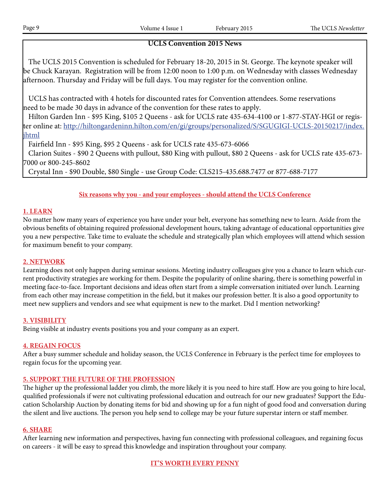## **UCLS Convention 2015 News**

 The UCLS 2015 Convention is scheduled for February 18-20, 2015 in St. George. The keynote speaker will be Chuck Karayan. Registration will be from 12:00 noon to 1:00 p.m. on Wednesday with classes Wednesday afternoon. Thursday and Friday will be full days. You may register for the convention online.

 UCLS has contracted with 4 hotels for discounted rates for Convention attendees. Some reservations need to be made 30 days in advance of the convention for these rates to apply.

 Hilton Garden Inn - \$95 King, \$105 2 Queens - ask for UCLS rate 435-634-4100 or 1-877-STAY-HGI or register online at: http://hiltongardeninn.hilton.com/en/gi/groups/personalized/S/SGUGIGI-UCLS-20150217/index. jhtml

Fairfield Inn - \$95 King, \$95 2 Queens - ask for UCLS rate 435-673-6066

 Clarion Suites - \$90 2 Queens with pullout, \$80 King with pullout, \$80 2 Queens - ask for UCLS rate 435-673- 7000 or 800-245-8602

Crystal Inn - \$90 Double, \$80 Single - use Group Code: CLS215-435.688.7477 or 877-688-7177

## **Six reasons why you - and your employees - should attend the UCLS Conference**

### **1. LEARN**

No matter how many years of experience you have under your belt, everyone has something new to learn. Aside from the obvious benefits of obtaining required professional development hours, taking advantage of educational opportunities give you a new perspective. Take time to evaluate the schedule and strategically plan which employees will attend which session for maximum benefit to your company.

#### **2. NETWORK**

Learning does not only happen during seminar sessions. Meeting industry colleagues give you a chance to learn which current productivity strategies are working for them. Despite the popularity of online sharing, there is something powerful in meeting face-to-face. Important decisions and ideas often start from a simple conversation initiated over lunch. Learning from each other may increase competition in the field, but it makes our profession better. It is also a good opportunity to meet new suppliers and vendors and see what equipment is new to the market. Did I mention networking?

## **3. VISIBILITY**

Being visible at industry events positions you and your company as an expert.

#### **4. REGAIN FOCUS**

After a busy summer schedule and holiday season, the UCLS Conference in February is the perfect time for employees to regain focus for the upcoming year.

#### **5. SUPPORT THE FUTURE OF THE PROFESSION**

The higher up the professional ladder you climb, the more likely it is you need to hire staff. How are you going to hire local, qualified professionals if were not cultivating professional education and outreach for our new graduates? Support the Education Scholarship Auction by donating items for bid and showing up for a fun night of good food and conversation during the silent and live auctions. The person you help send to college may be your future superstar intern or staff member.

#### **6. SHARE**

After learning new information and perspectives, having fun connecting with professional colleagues, and regaining focus on careers - it will be easy to spread this knowledge and inspiration throughout your company.

**IT'S WORTH EVERY PENNY**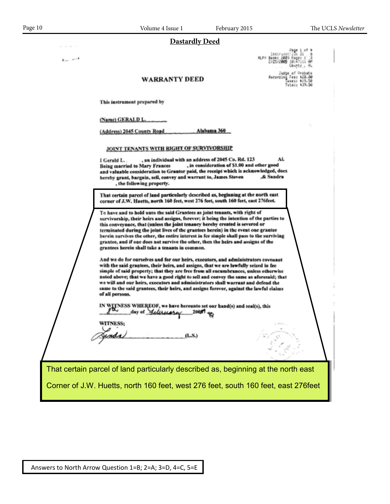$\mathbf{E}_{\text{max}}$  , and  $\mathbf{E}$ 

#### **Dastardly Deed**

Page 1 of<br>| Lostywoon:110: 31<br>| MLPY Book: 2009 Page: 1<br>| Crics/2009 Doutiy

Judge of Probate<br>Recording Fee: 820.00<br>Recording Fee: 819.50<br>Total: 839.50

#### **WARRANTY DEED**

This instrument prepared by

(Name) GERALD L.

(Address) 2045 County Road Alabama 360

JOINT TENANTS WITH RIGHT OF SURVIVORSHIP

, an individual with an address of 2045 Co. Rd. 123 AL. I Gerald L. , in consideration of \$1.00 and other good **Being married to Mary Frances** and valuable consideration to Grantor paid, the receipt which is acknowledged, does hereby grant, bargain, seil, convey and warrant to, James Steven & Sandra , the following property.

That certain parcel of land particularly described as, beginning at the north east corner of J.W. Huetts, north 160 feet, west 276 feet, south 160 feet, east 276feet.

To have and to hold unto the said Grantees as joint tenants, with right of survivorship, their heirs and assigns, forever; it being the intention of the parties to this conveyance, that (unless the joint tenancy bereby created is severed or<br>terminated during the joint lives of the grantees herein) in the event one grantee<br>berein survives the other, the entire interest in fee simple s grantee, and if one does not survive the other, then the heirs and assigns of the<br>grantees herein shall take a tenants in common.

And we do for ourselves and for our heirs, executors, and administrators covenant with the said grantees, their heirs, and assigns, that we are lawfully seized in fee simple of said property; that they are free from all encumbrances, unless otherwise<br>noted above; that we have a good right to sell and convey the same as aforesaid; that<br>we will and our heirs, executors and administrators of all persons.

IN WITNESS WHEREOF, we have hereunto set our hand(s) and seal(s), this day of *delining* 2005 eq. 2005 and seal(s), this

 $(L.S.)$ 

Salt Lake

Balling Corner of J.W. Huetts, north 160 feet, west 276 feet, south 160 feet, east 276feet That certain parcel of land particularly described as, beginning at the north east

County **3 = .**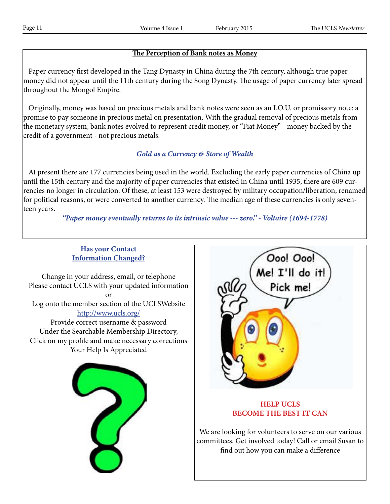## **The Perception of Bank notes as Money**

 Paper currency first developed in the Tang Dynasty in China during the 7th century, although true paper money did not appear until the 11th century during the Song Dynasty. The usage of paper currency later spread throughout the Mongol Empire.

 Originally, money was based on precious metals and bank notes were seen as an I.O.U. or promissory note: a promise to pay someone in precious metal on presentation. With the gradual removal of precious metals from the monetary system, bank notes evolved to represent credit money, or "Fiat Money" - money backed by the credit of a government - not precious metals.

## *Gold as a Currency & Store of Wealth*

 At present there are 177 currencies being used in the world. Excluding the early paper currencies of China up until the 15th century and the majority of paper currencies that existed in China until 1935, there are 609 currencies no longer in circulation. Of these, at least 153 were destroyed by military occupation/liberation, renamed for political reasons, or were converted to another currency. The median age of these currencies is only seventeen years.

*"Paper money eventually returns to its intrinsic value --- zero." - Voltaire (1694-1778)*

## **Has your Contact Information Changed?**

Change in your address, email, or telephone Please contact UCLS with your updated information or Log onto the member section of the UCLSWebsite http://www.ucls.org/ Provide correct username & password Under the Searchable Membership Directory,

Click on my profile and make necessary corrections Your Help Is Appreciated





## **HELP UCLS BECOME THE BEST IT CAN**

We are looking for volunteers to serve on our various committees. Get involved today! Call or email Susan to find out how you can make a difference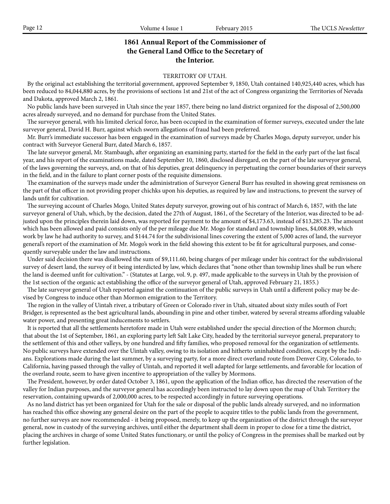## **1861 Annual Report of the Commissioner of the General Land Office to the Secretary of the Interior.**

#### TERRITORY OF UTAH.

 By the original act establishing the territorial government, approved September 9, 1850, Utah contained 140,925,440 acres, which has been reduced to 84,044,880 acres, by the provisions of sections 1st and 21st of the act of Congress organizing the Territories of Nevada and Dakota, approved March 2, 1861.

 No public lands have been surveyed in Utah since the year 1857, there being no land district organized for the disposal of 2,500,000 acres already surveyed, and no demand for purchase from the United States.

 The surveyor general, with his limited clerical force, has been occupied in the examination of former surveys, executed under the late surveyor general, David H. Burr, against which sworn allegations of fraud had been preferred.

 Mr. Burr's immediate successor has been engaged in the examination of surveys made by Charles Mogo, deputy surveyor, under his contract with Surveyor General Burr, dated March 6, 1857.

 The late surveyor general, Mr. Stambaugh, after organizing an examining party, started for the field in the early part of the last fiscal year, and his report of the examinations made, dated September 10, 1860, disclosed disregard, on the part of the late surveyor general, of the laws governing the surveys, and, on that of his deputies, great delinquency in perpetuating the corner boundaries of their surveys in the field, and in the failure to plant corner posts of the requisite dimensions.

 The examination of the surveys made under the administration of Surveyor General Burr has resulted in showing great remissness on the part of that officer in not providing proper chichks upon his deputies, as required by law and instructions, to prevent the survey of lands unfit for cultivation.

 The surveying account of Charles Mogo, United States deputy surveyor, growing out of his contract of March 6, 1857, with the late surveyor general of Utah, which, by the decision, dated the 27th of August, 1861, of the Secretary of the Interior, was directed to be adjusted upon the principles therein laid down, was reported for payment to the amount of \$4,173.63, instead of \$13,285.23. The amount which has been allowed and paid consists only of the per mileage due Mr. Mogo for standard and township lines, \$4,008.89, which work by law he had authority to survey, and \$144.74 for the subdivisional lines covering the extent of 5,000 acres of land, the surveyor general's report of the examination of Mr. Mogo's work in the field showing this extent to be fit for agricultural purposes, and consequently surveyable under the law and instructions.

 Under said decision there was disallowed the sum of \$9,111.60, being charges of per mileage under his contract for the subdivisional survey of desert land, the survey of it being interdicted by law, which declares that "none other than township lines shall be run where the land is deemed unfit for cultivation." - (Statutes at Large, vol. 9, p. 497, made applicable to the surveys in Utah by the provision of the 1st section of the organic act establishing the office of the surveyor general of Utah, approved February 21, 1855.)

 The late surveyor general of Utah reported against the continuation of the public surveys in Utah until a different policy may be devised by Congress to induce other than Mormon emigration to the Territory.

 The region in the valley of Uintah river, a tributary of Green or Colorado river in Utah, situated about sixty miles south of Fort Bridger, is represented as the best agricultural lands, abounding in pine and other timber, watered by several streams affording valuable water power, and presenting great inducements to settlers.

 It is reported that all the settlements heretofore made in Utah were established under the special direction of the Mormon church; that about the 1st of September, 1861, an exploring party left Salt Lake City, headed by the territorial surveyor general, preparatory to the settlement of this and other valleys, by one hundred and fifty families, who proposed removal for the organization of settlements. No public surveys have extended over the Uintah valley, owing to its isolation and hitherto uninhabited condition, except by the Indians. Explorations made during the last summer, by a surveying party, for a more direct overland route from Denver City, Colorado, to California, having passed through the valley of Uintah, and reported it well adapted for large settlements, and favorable for location of the overland route, seem to have given incentive to appropriation of the valley by Mormons.

 The President, however, by order dated October 3, 1861, upon the application of the Indian office, has directed the reservation of the valley for Indian purposes, and the surveyor general has accordingly been instructed to lay down upon the map of Utah Territory the reservation, containing upwards of 2,000,000 acres, to be respected accordingly in future surveying operations.

 As no land district has yet been organized for Utah for the sale or disposal of the public lands already surveyed, and no information has reached this office showing any general desire on the part of the people to acquire titles to the public lands from the government, no further surveys are now recommended - it being proposed, merely, to keep up the organization of the district through the surveyor general, now in custody of the surveying archives, until either the department shall deem in proper to close for a time the district, placing the archives in charge of some United States functionary, or until the policy of Congress in the premises shall be marked out by further legislation.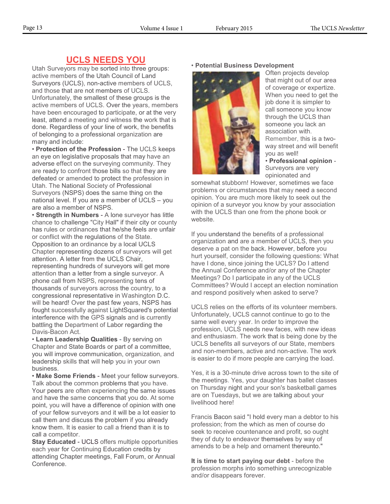## **UCLS NEEDS YOU**

Utah Surveyors may be sorted into three groups: active members of the Utah Council of Land Surveyors (UCLS), non-active members of UCLS, and those that are not members of UCLS. Unfortunately, the smallest of these groups is the active members of UCLS. Over the years, members have been encouraged to participate, or at the very least, attend a meeting and witness the work that is done. Regardless of your line of work, the benefits of belonging to a professional organization are many and include:

• **Protection of the Profession** - The UCLS keeps an eye on legislative proposals that may have an adverse effect on the surveying community. They are ready to confront those bills so that they are defeated or amended to protect the profession in Utah. The National Society of Professional Surveyors (NSPS) does the same thing on the national level. If you are a member of UCLS – you are also a member of NSPS.

• **Strength in Numbers** - A lone surveyor has little chance to challenge "City Hall" if their city or county has rules or ordinances that he/she feels are unfair or conflict with the regulations of the State. Opposition to an ordinance by a local UCLS Chapter representing dozens of surveyors will get attention. A letter from the UCLS Chair, representing hundreds of surveyors will get more attention than a letter from a single surveyor. A phone call from NSPS, representing tens of thousands of surveyors across the country, to a congressional representative in Washington D.C. will be heard! Over the past few years, NSPS has fought successfully against LightSquared's potential interference with the GPS signals and is currently battling the Department of Labor regarding the Davis-Bacon Act.

• **Learn Leadership Qualities** - By serving on Chapter and State Boards or part of a committee, you will improve communication, organization, and leadership skills that will help you in your own business.

• **Make Some Friends** - Meet your fellow surveyors. Talk about the common problems that you have. Your peers are often experiencing the same issues and have the same concerns that you do. At some point, you will have a difference of opinion with one of your fellow surveyors and it will be a lot easier to call them and discuss the problem if you already know them. It is easier to call a friend than it is to call a competitor.

**Stay Educated** - UCLS offers multiple opportunities each year for Continuing Education credits by attending Chapter meetings, Fall Forum, or Annual Conference.

#### • **Potential Business Development**



Often projects develop that might out of our area of coverage or expertize. When you need to get the job done it is simpler to call someone you know through the UCLS than someone you lack an association with. Remember, this is a twoway street and will benefit you as well!

• **Professional opinion** - Surveyors are very opinionated and

somewhat stubborn! However, sometimes we face problems or circumstances that may need a second opinion. You are much more likely to seek out the opinion of a surveyor you know by your association with the UCLS than one from the phone book or website.

If you understand the benefits of a professional organization and are a member of UCLS, then you deserve a pat on the back. However, before you hurt yourself, consider the following questions: What have I done, since joining the UCLS? Do I attend the Annual Conference and/or any of the Chapter Meetings? Do I participate in any of the UCLS Committees? Would I accept an election nomination and respond positively when asked to serve?

UCLS relies on the efforts of its volunteer members. Unfortunately, UCLS cannot continue to go to the same well every year. In order to improve the profession, UCLS needs new faces, with new ideas and enthusiasm. The work that is being done by the UCLS benefits all surveyors of our State, members and non-members, active and non-active. The work is easier to do if more people are carrying the load.

Yes, it is a 30-minute drive across town to the site of the meetings. Yes, your daughter has ballet classes on Thursday night and your son's basketball games are on Tuesdays, but we are talking about your livelihood here!

Francis Bacon said "I hold every man a debtor to his profession; from the which as men of course do seek to receive countenance and profit, so ought they of duty to endeavor themselves by way of amends to be a help and ornament thereunto."

**It is time to start paying our debt** - before the profession morphs into something unrecognizable and/or disappears forever.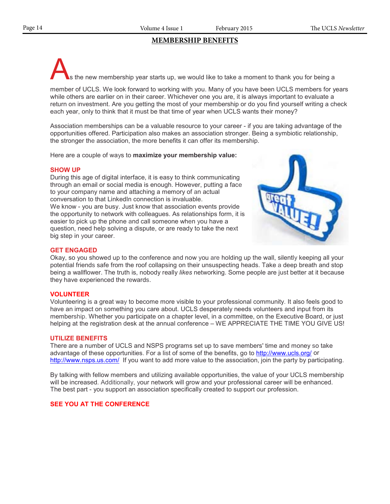## **MEMBERSHIP BENEFITS**

s the new membership year starts up, we would like to take a moment to thank you for being a

member of UCLS. We look forward to working with you. Many of you have been UCLS members for years while others are earlier on in their career. Whichever one you are, it is always important to evaluate a return on investment. Are you getting the most of your membership or do you find yourself writing a check each year, only to think that it must be that time of year when UCLS wants their money?

Association memberships can be a valuable resource to your career - if you are taking advantage of the opportunities offered. Participation also makes an association stronger. Being a symbiotic relationship, the stronger the association, the more benefits it can offer its membership.

Here are a couple of ways to **maximize your membership value:**

#### **SHOW UP**

During this age of digital interface, it is easy to think communicating through an email or social media is enough. However, putting a face to your company name and attaching a memory of an actual conversation to that LinkedIn connection is invaluable. We know - you are busy. Just know that association events provide the opportunity to network with colleagues. As relationships form, it is easier to pick up the phone and call someone when you have a question, need help solving a dispute, or are ready to take the next big step in your career.



#### **GET ENGAGED**

Okay, so you showed up to the conference and now you are holding up the wall, silently keeping all your potential friends safe from the roof collapsing on their unsuspecting heads. Take a deep breath and stop being a wallflower. The truth is, nobody really *likes* networking. Some people are just better at it because they have experienced the rewards.

#### **VOLUNTEER**

Volunteering is a great way to become more visible to your professional community. It also feels good to have an impact on something you care about. UCLS desperately needs volunteers and input from its membership. Whether you participate on a chapter level, in a committee, on the Executive Board, or just helping at the registration desk at the annual conference – WE APPRECIATE THE TIME YOU GIVE US!

#### **UTILIZE BENEFITS**

There are a number of UCLS and NSPS programs set up to save members' time and money so take advantage of these opportunities. For a list of some of the benefits, go to http://www.ucls.org/ or http://www.nsps.us.com/ If you want to add more value to the association, join the party by participating.

By talking with fellow members and utilizing available opportunities, the value of your UCLS membership will be increased. Additionally, your network will grow and your professional career will be enhanced. The best part - you support an association specifically created to support our profession.

### **SEE YOU AT THE CONFERENCE**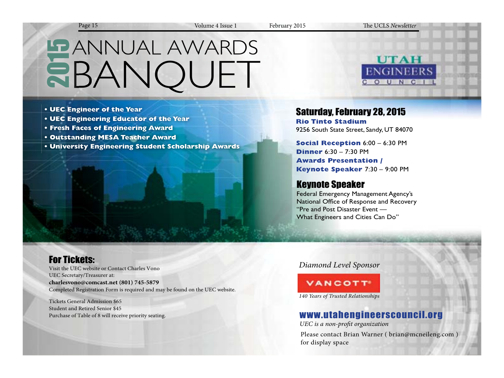Page 15 Volume 4 Issue 1 February 2015 The UCLS *Newsletter*

# **LE ANNUAL AWARDS EBANOUET**

- **UEC Engineer of the Year**
- **UEC Engineering Educator of the Year**
- **Fresh Faces of Engineering Award**
- **Outstanding MESA Teacher Award**
- **University Engineering Student Scholarship Awards**



## Saturday, February 28, 2015

**Rio Tinto Stadium** 9256 South State Street, Sandy, UT 84070

**Social Reception** 6:00 – 6:30 PM **Dinner** 6:30 – 7:30 PM **Awards Presentation / Keynote Speaker** 7:30 – 9:00 PM

## Keynote Speaker

Federal Emergency Management Agency's National Office of Response and Recovery "Pre and Post Disaster Event — What Engineers and Cities Can Do"

## For Tickets:

Visit the UEC website or Contact Charles Vono UEC Secretary/Treasurer at: **charlesvono@comcast.net (801) 745-5879** Completed Registration Form is required and may be found on the UEC website.

Tickets General Admission \$65 Student and Retired Senior \$45 Purchase of Table of 8 will receive priority seating.

## *Diamond Level Sponsor*

# **VANCOTT**

*140 Years of Trusted Relationships*

## www.utahengineerscouncil.org

UEC is a non-profit organization

Please contact Brian Warner ( brian@mcneileng.com ) for display space